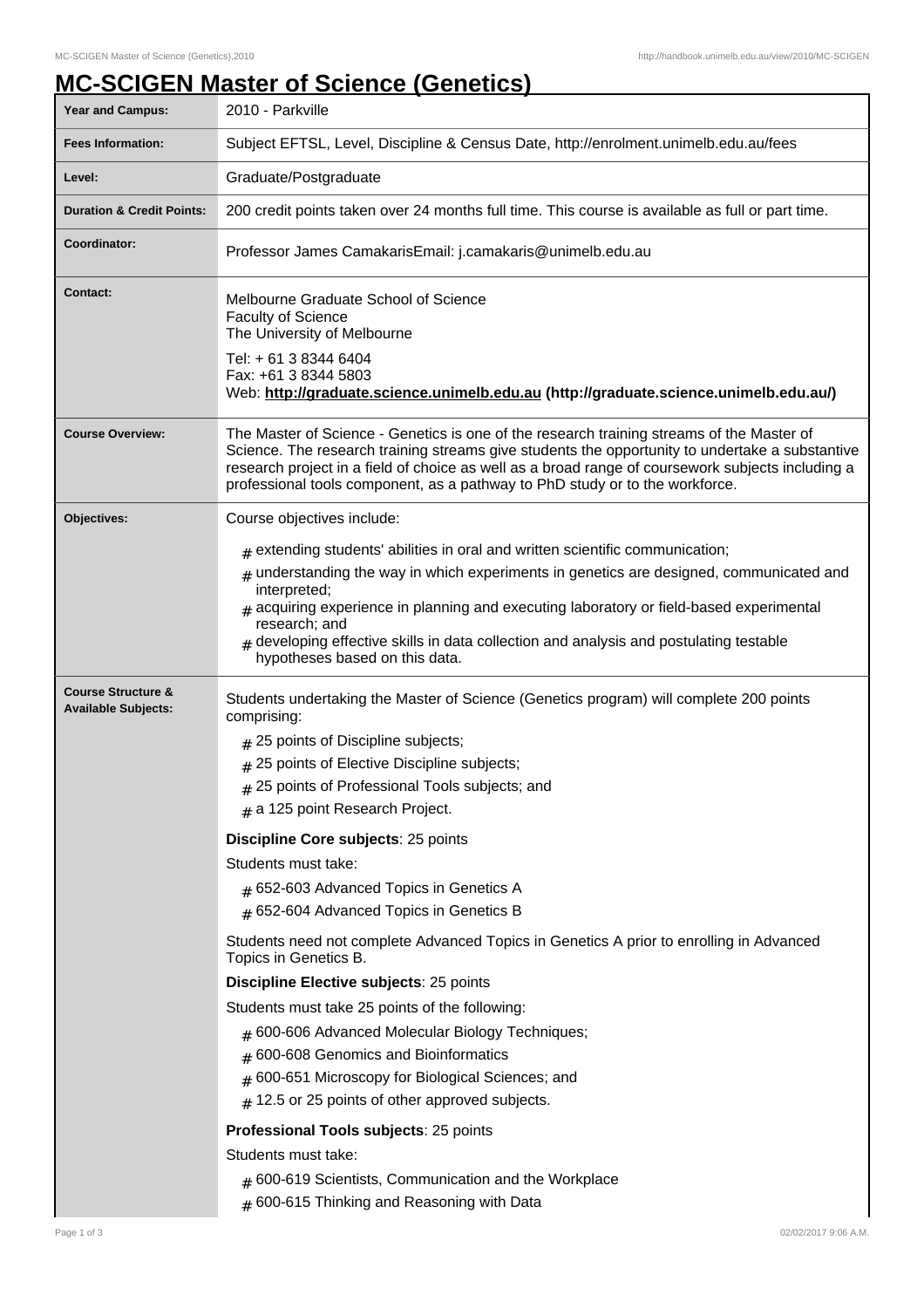## **MC-SCIGEN Master of Science (Genetics)**

| <b>Year and Campus:</b>                                     | 2010 - Parkville                                                                                                                                                                                                                                                                                                                                                                                                                                                                                                                                                                                      |  |
|-------------------------------------------------------------|-------------------------------------------------------------------------------------------------------------------------------------------------------------------------------------------------------------------------------------------------------------------------------------------------------------------------------------------------------------------------------------------------------------------------------------------------------------------------------------------------------------------------------------------------------------------------------------------------------|--|
| <b>Fees Information:</b>                                    | Subject EFTSL, Level, Discipline & Census Date, http://enrolment.unimelb.edu.au/fees                                                                                                                                                                                                                                                                                                                                                                                                                                                                                                                  |  |
| Level:                                                      | Graduate/Postgraduate                                                                                                                                                                                                                                                                                                                                                                                                                                                                                                                                                                                 |  |
| <b>Duration &amp; Credit Points:</b>                        | 200 credit points taken over 24 months full time. This course is available as full or part time.                                                                                                                                                                                                                                                                                                                                                                                                                                                                                                      |  |
| Coordinator:                                                | Professor James CamakarisEmail: j.camakaris@unimelb.edu.au                                                                                                                                                                                                                                                                                                                                                                                                                                                                                                                                            |  |
| <b>Contact:</b>                                             | Melbourne Graduate School of Science<br><b>Faculty of Science</b><br>The University of Melbourne<br>Tel: + 61 3 8344 6404<br>Fax: +61 3 8344 5803<br>Web: http://graduate.science.unimelb.edu.au (http://graduate.science.unimelb.edu.au/)                                                                                                                                                                                                                                                                                                                                                            |  |
| <b>Course Overview:</b>                                     | The Master of Science - Genetics is one of the research training streams of the Master of<br>Science. The research training streams give students the opportunity to undertake a substantive<br>research project in a field of choice as well as a broad range of coursework subjects including a<br>professional tools component, as a pathway to PhD study or to the workforce.                                                                                                                                                                                                                     |  |
| Objectives:                                                 | Course objectives include:<br>$#$ extending students' abilities in oral and written scientific communication;<br>$#$ understanding the way in which experiments in genetics are designed, communicated and<br>interpreted;<br>$#$ acquiring experience in planning and executing laboratory or field-based experimental<br>research; and<br>$#$ developing effective skills in data collection and analysis and postulating testable<br>hypotheses based on this data.                                                                                                                                |  |
| <b>Course Structure &amp;</b><br><b>Available Subjects:</b> | Students undertaking the Master of Science (Genetics program) will complete 200 points<br>comprising:<br>$#$ 25 points of Discipline subjects;<br># 25 points of Elective Discipline subjects;<br># 25 points of Professional Tools subjects; and<br>$#$ a 125 point Research Project.<br>Discipline Core subjects: 25 points<br>Students must take:<br>$#$ 652-603 Advanced Topics in Genetics A<br>$#$ 652-604 Advanced Topics in Genetics B                                                                                                                                                        |  |
|                                                             | Students need not complete Advanced Topics in Genetics A prior to enrolling in Advanced<br>Topics in Genetics B.<br>Discipline Elective subjects: 25 points<br>Students must take 25 points of the following:<br># 600-606 Advanced Molecular Biology Techniques;<br>600-608 Genomics and Bioinformatics<br>#<br>600-651 Microscopy for Biological Sciences; and<br>#<br>12.5 or 25 points of other approved subjects.<br>#<br>Professional Tools subjects: 25 points<br>Students must take:<br>$#$ 600-619 Scientists, Communication and the Workplace<br># 600-615 Thinking and Reasoning with Data |  |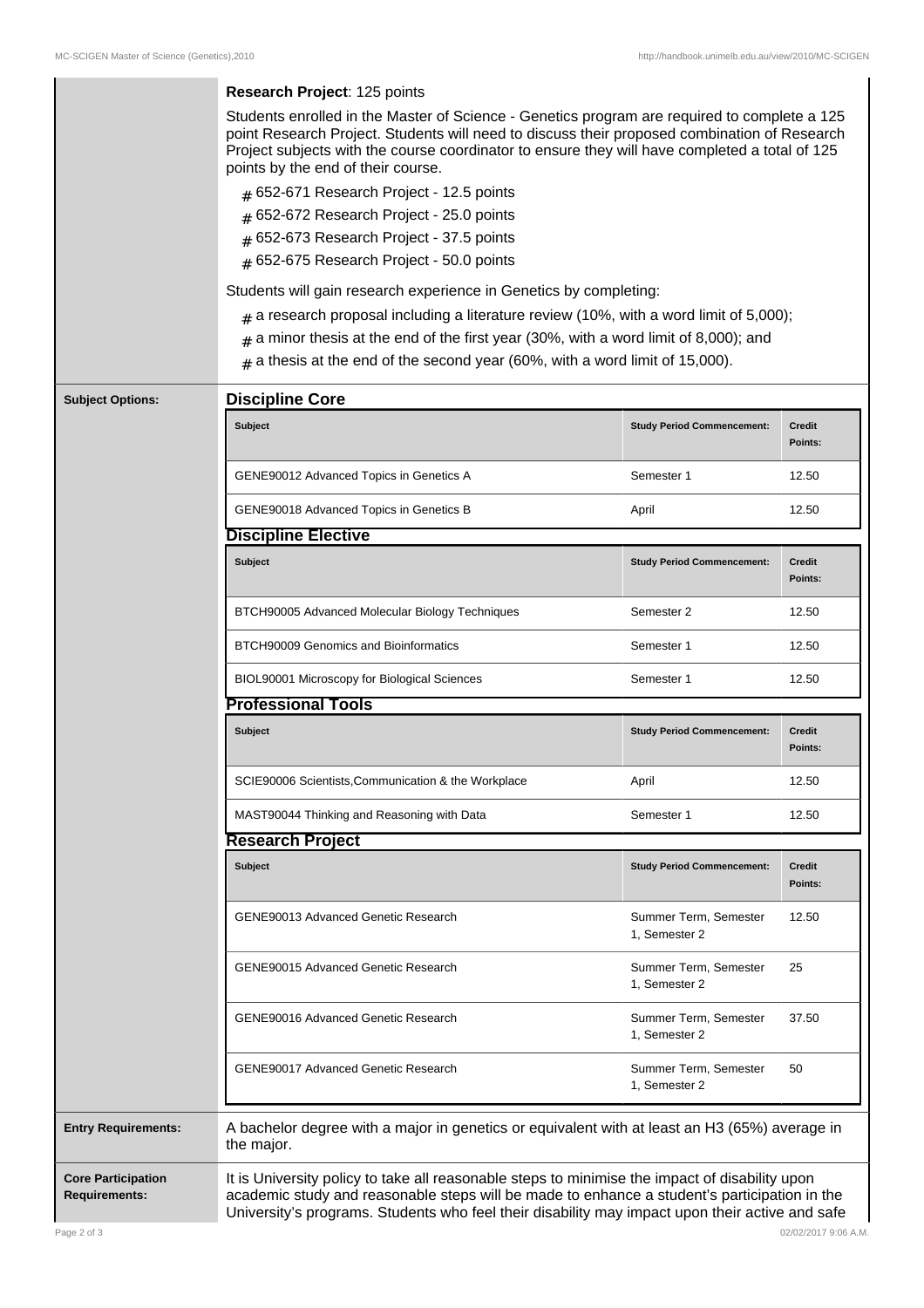|                                                   | Research Project: 125 points<br>Students enrolled in the Master of Science - Genetics program are required to complete a 125                                                                                                                                                                      |                                        |                          |  |  |
|---------------------------------------------------|---------------------------------------------------------------------------------------------------------------------------------------------------------------------------------------------------------------------------------------------------------------------------------------------------|----------------------------------------|--------------------------|--|--|
|                                                   | point Research Project. Students will need to discuss their proposed combination of Research<br>Project subjects with the course coordinator to ensure they will have completed a total of 125<br>points by the end of their course.                                                              |                                        |                          |  |  |
|                                                   | # 652-671 Research Project - 12.5 points                                                                                                                                                                                                                                                          |                                        |                          |  |  |
|                                                   | # 652-672 Research Project - 25.0 points                                                                                                                                                                                                                                                          |                                        |                          |  |  |
|                                                   | $#$ 652-673 Research Project - 37.5 points                                                                                                                                                                                                                                                        |                                        |                          |  |  |
|                                                   | # 652-675 Research Project - 50.0 points                                                                                                                                                                                                                                                          |                                        |                          |  |  |
|                                                   |                                                                                                                                                                                                                                                                                                   |                                        |                          |  |  |
|                                                   | Students will gain research experience in Genetics by completing:                                                                                                                                                                                                                                 |                                        |                          |  |  |
|                                                   | $#$ a research proposal including a literature review (10%, with a word limit of 5,000);                                                                                                                                                                                                          |                                        |                          |  |  |
|                                                   | $#$ a minor thesis at the end of the first year (30%, with a word limit of 8,000); and                                                                                                                                                                                                            |                                        |                          |  |  |
|                                                   | $_{\text{\#}}$ a thesis at the end of the second year (60%, with a word limit of 15,000).                                                                                                                                                                                                         |                                        |                          |  |  |
| <b>Subject Options:</b>                           | <b>Discipline Core</b>                                                                                                                                                                                                                                                                            |                                        |                          |  |  |
|                                                   | <b>Subject</b>                                                                                                                                                                                                                                                                                    | <b>Study Period Commencement:</b>      | <b>Credit</b><br>Points: |  |  |
|                                                   | GENE90012 Advanced Topics in Genetics A                                                                                                                                                                                                                                                           | Semester 1                             | 12.50                    |  |  |
|                                                   | GENE90018 Advanced Topics in Genetics B                                                                                                                                                                                                                                                           | April                                  | 12.50                    |  |  |
|                                                   | <b>Discipline Elective</b>                                                                                                                                                                                                                                                                        |                                        |                          |  |  |
|                                                   | Subject                                                                                                                                                                                                                                                                                           | <b>Study Period Commencement:</b>      | <b>Credit</b><br>Points: |  |  |
|                                                   | BTCH90005 Advanced Molecular Biology Techniques                                                                                                                                                                                                                                                   | Semester 2                             | 12.50                    |  |  |
|                                                   | <b>BTCH90009 Genomics and Bioinformatics</b>                                                                                                                                                                                                                                                      | Semester 1                             | 12.50                    |  |  |
|                                                   | BIOL90001 Microscopy for Biological Sciences                                                                                                                                                                                                                                                      | Semester 1                             | 12.50                    |  |  |
|                                                   | <b>Professional Tools</b>                                                                                                                                                                                                                                                                         |                                        |                          |  |  |
|                                                   | <b>Subject</b>                                                                                                                                                                                                                                                                                    | <b>Study Period Commencement:</b>      | <b>Credit</b><br>Points: |  |  |
|                                                   | SCIE90006 Scientists, Communication & the Workplace                                                                                                                                                                                                                                               | April                                  | 12.50                    |  |  |
|                                                   | MAST90044 Thinking and Reasoning with Data                                                                                                                                                                                                                                                        | Semester 1                             | 12.50                    |  |  |
|                                                   | <b>Research Project</b>                                                                                                                                                                                                                                                                           |                                        |                          |  |  |
|                                                   | <b>Subject</b>                                                                                                                                                                                                                                                                                    | <b>Study Period Commencement:</b>      | <b>Credit</b><br>Points: |  |  |
|                                                   | GENE90013 Advanced Genetic Research                                                                                                                                                                                                                                                               | Summer Term, Semester<br>1, Semester 2 | 12.50                    |  |  |
|                                                   | <b>GENE90015 Advanced Genetic Research</b>                                                                                                                                                                                                                                                        | Summer Term, Semester<br>1, Semester 2 | 25                       |  |  |
|                                                   | <b>GENE90016 Advanced Genetic Research</b>                                                                                                                                                                                                                                                        | Summer Term, Semester<br>1, Semester 2 | 37.50                    |  |  |
|                                                   | <b>GENE90017 Advanced Genetic Research</b>                                                                                                                                                                                                                                                        | Summer Term, Semester<br>1, Semester 2 | 50                       |  |  |
| <b>Entry Requirements:</b>                        | A bachelor degree with a major in genetics or equivalent with at least an H3 (65%) average in<br>the major.                                                                                                                                                                                       |                                        |                          |  |  |
| <b>Core Participation</b><br><b>Requirements:</b> | It is University policy to take all reasonable steps to minimise the impact of disability upon<br>academic study and reasonable steps will be made to enhance a student's participation in the<br>University's programs. Students who feel their disability may impact upon their active and safe |                                        |                          |  |  |

 $\mathbf{I}$